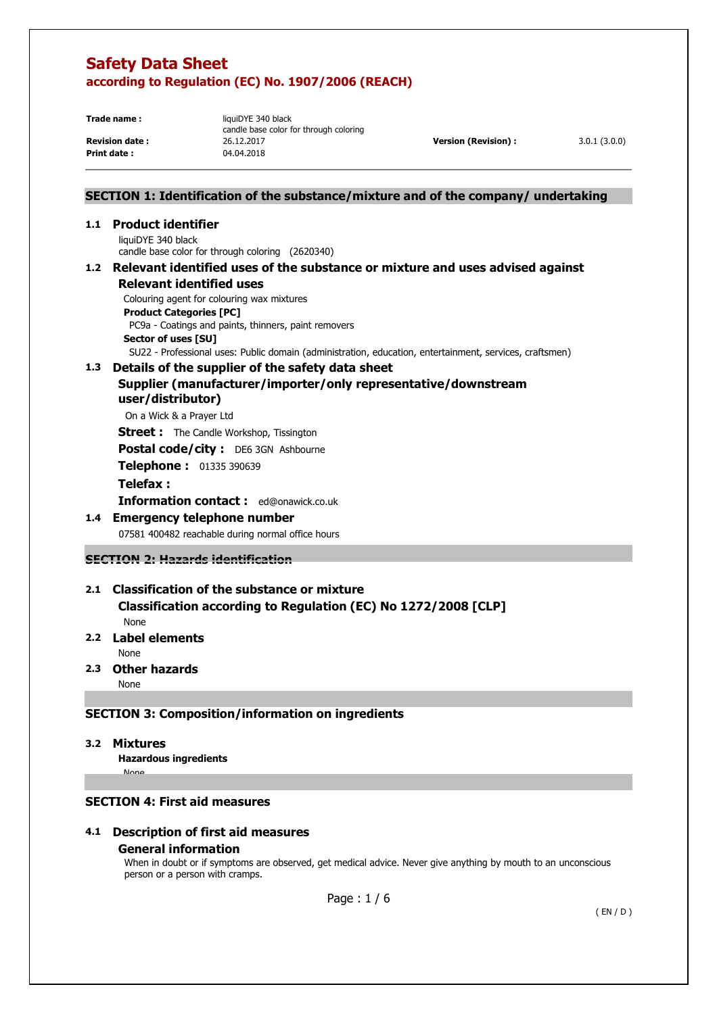**Print date :** 

**Trade name :** liquiDYE 340 black candle base color for through coloring **Revision date :** 26.12.2017 **Version (Revision) :** 3.0.1 (3.0.0)<br> **Print date :** 29.04.2018

## **SECTION 1: Identification of the substance/mixture and of the company/ undertaking**

### **1.1 Product identifier**

liquiDYE 340 black candle base color for through coloring (2620340)

### **1.2 Relevant identified uses of the substance or mixture and uses advised against Relevant identified uses**

 Colouring agent for colouring wax mixtures **Product Categories [PC]**  PC9a - Coatings and paints, thinners, paint removers **Sector of uses [SU]** 

SU22 - Professional uses: Public domain (administration, education, entertainment, services, craftsmen)

### **1.3 Details of the supplier of the safety data sheet Supplier (manufacturer/importer/only representative/downstream user/distributor)**

On a Wick & a Prayer Ltd

**Street :** The Candle Workshop, Tissington

**Postal code/city :** DE6 3GN Ashbourne

**Telephone :** 01335 390639

### **Telefax :**

**Information contact :** ed@onawick.co.uk

### **1.4 Emergency telephone number**

07581 400482 reachable during normal office hours

**SECTION 2: Hazards identification** 

# **2.1 Classification of the substance or mixture**

 **Classification according to Regulation (EC) No 1272/2008 [CLP]**  None

### **2.2 Label elements**

None

**2.3 Other hazards** 

None

## **SECTION 3: Composition/information on ingredients**

### **3.2 Mixtures**

**None** 

**Hazardous ingredients**

### **SECTION 4: First aid measures**

### **4.1 Description of first aid measures General information**

When in doubt or if symptoms are observed, get medical advice. Never give anything by mouth to an unconscious person or a person with cramps.

Page : 1 / 6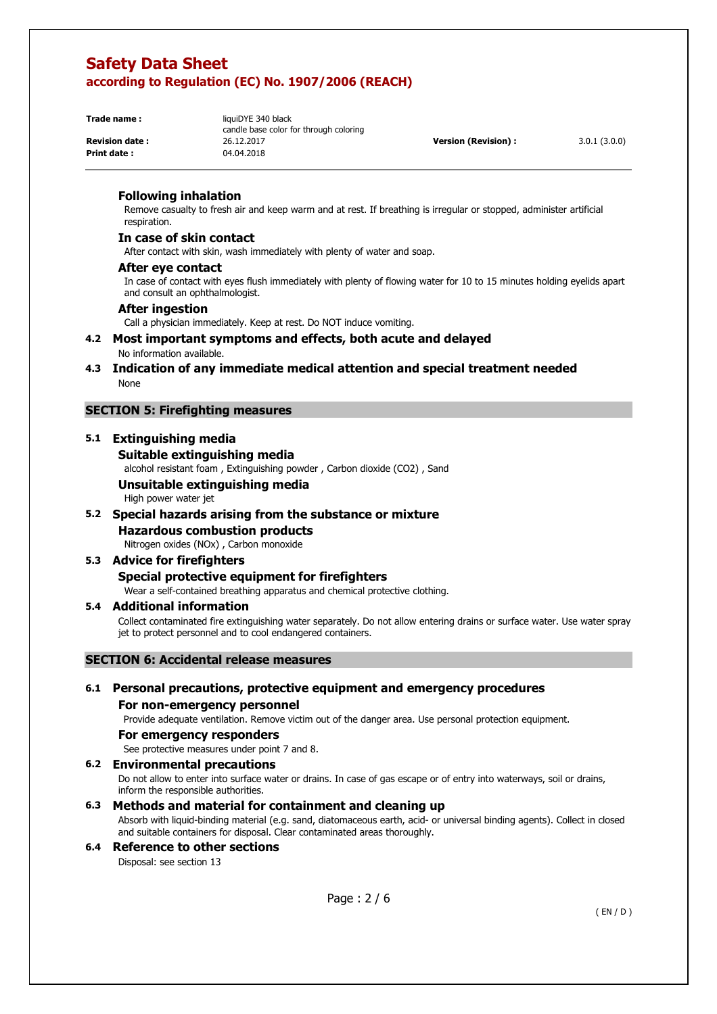**Print date:** 

**Trade name :** liquiDYE 340 black candle base color for through coloring **Revision date :** 26.12.2017 **Version (Revision) :** 3.0.1 (3.0.0)<br> **Print date :** 29.04.2018

### **Following inhalation**

Remove casualty to fresh air and keep warm and at rest. If breathing is irregular or stopped, administer artificial respiration.

### **In case of skin contact**

After contact with skin, wash immediately with plenty of water and soap.

### **After eye contact**

In case of contact with eyes flush immediately with plenty of flowing water for 10 to 15 minutes holding eyelids apart and consult an ophthalmologist.

### **After ingestion**

Call a physician immediately. Keep at rest. Do NOT induce vomiting.

#### **4.2 Most important symptoms and effects, both acute and delayed**  No information available.

### **4.3 Indication of any immediate medical attention and special treatment needed**  None

### **SECTION 5: Firefighting measures**

### **5.1 Extinguishing media**

### **Suitable extinguishing media**

alcohol resistant foam , Extinguishing powder , Carbon dioxide (CO2) , Sand

## **Unsuitable extinguishing media**

High power water jet

### **5.2 Special hazards arising from the substance or mixture Hazardous combustion products**

Nitrogen oxides (NOx) , Carbon monoxide

## **5.3 Advice for firefighters**

# **Special protective equipment for firefighters**

Wear a self-contained breathing apparatus and chemical protective clothing.

### **5.4 Additional information**

Collect contaminated fire extinguishing water separately. Do not allow entering drains or surface water. Use water spray jet to protect personnel and to cool endangered containers.

### **SECTION 6: Accidental release measures**

## **6.1 Personal precautions, protective equipment and emergency procedures**

## **For non-emergency personnel**

Provide adequate ventilation. Remove victim out of the danger area. Use personal protection equipment.

#### **For emergency responders**

See protective measures under point 7 and 8.

#### **6.2 Environmental precautions**

Do not allow to enter into surface water or drains. In case of gas escape or of entry into waterways, soil or drains, inform the responsible authorities.

### **6.3 Methods and material for containment and cleaning up**

Absorb with liquid-binding material (e.g. sand, diatomaceous earth, acid- or universal binding agents). Collect in closed and suitable containers for disposal. Clear contaminated areas thoroughly.

## **6.4 Reference to other sections**

Disposal: see section 13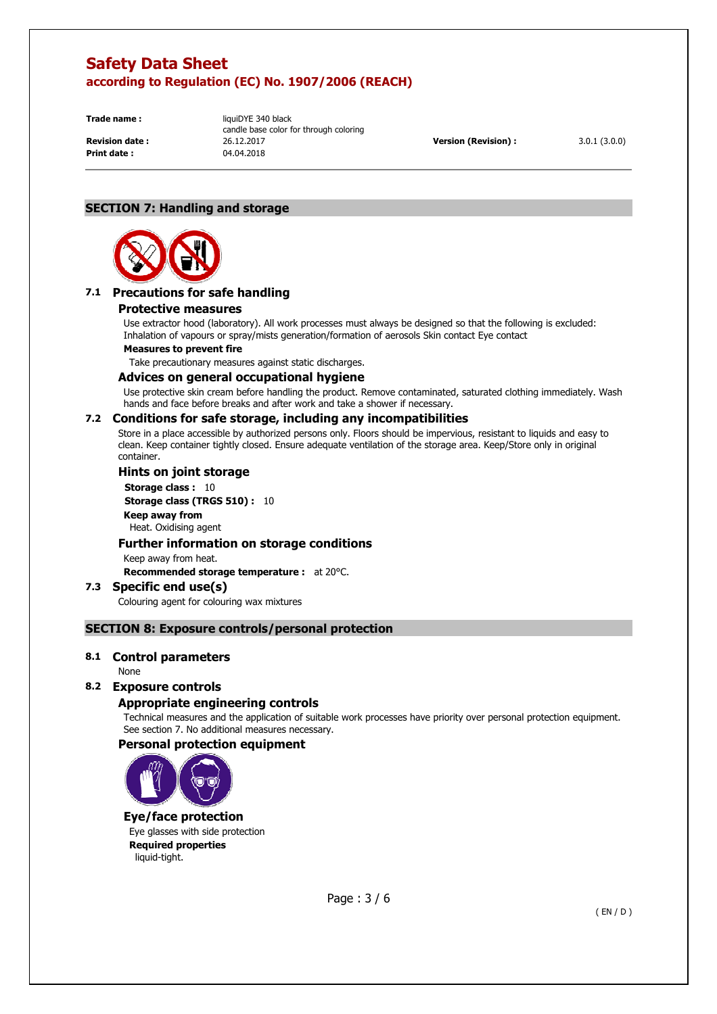**Print date:** 

**Trade name :** liquiDYE 340 black candle base color for through coloring **Revision date :** 26.12.2017 **Version (Revision) :** 3.0.1 (3.0.0)<br> **Print date :** 29.04.2018

## **SECTION 7: Handling and storage**



## **7.1 Precautions for safe handling**

#### **Protective measures**

Use extractor hood (laboratory). All work processes must always be designed so that the following is excluded: Inhalation of vapours or spray/mists generation/formation of aerosols Skin contact Eye contact

### **Measures to prevent fire**

Take precautionary measures against static discharges.

#### **Advices on general occupational hygiene**

Use protective skin cream before handling the product. Remove contaminated, saturated clothing immediately. Wash hands and face before breaks and after work and take a shower if necessary.

### **7.2 Conditions for safe storage, including any incompatibilities**

Store in a place accessible by authorized persons only. Floors should be impervious, resistant to liquids and easy to clean. Keep container tightly closed. Ensure adequate ventilation of the storage area. Keep/Store only in original container.

### **Hints on joint storage**

**Storage class : 10 Storage class (TRGS 510) :** 10 **Keep away from**  Heat. Oxidising agent

### **Further information on storage conditions**

Keep away from heat.

**Recommended storage temperature :** at 20°C.

## **7.3 Specific end use(s)**

Colouring agent for colouring wax mixtures

### **SECTION 8: Exposure controls/personal protection**

### **8.1 Control parameters**

#### None

### **8.2 Exposure controls**

### **Appropriate engineering controls**

Technical measures and the application of suitable work processes have priority over personal protection equipment. See section 7. No additional measures necessary.

## **Personal protection equipment**



### **Eye/face protection**

Eye glasses with side protection **Required properties**  liquid-tight.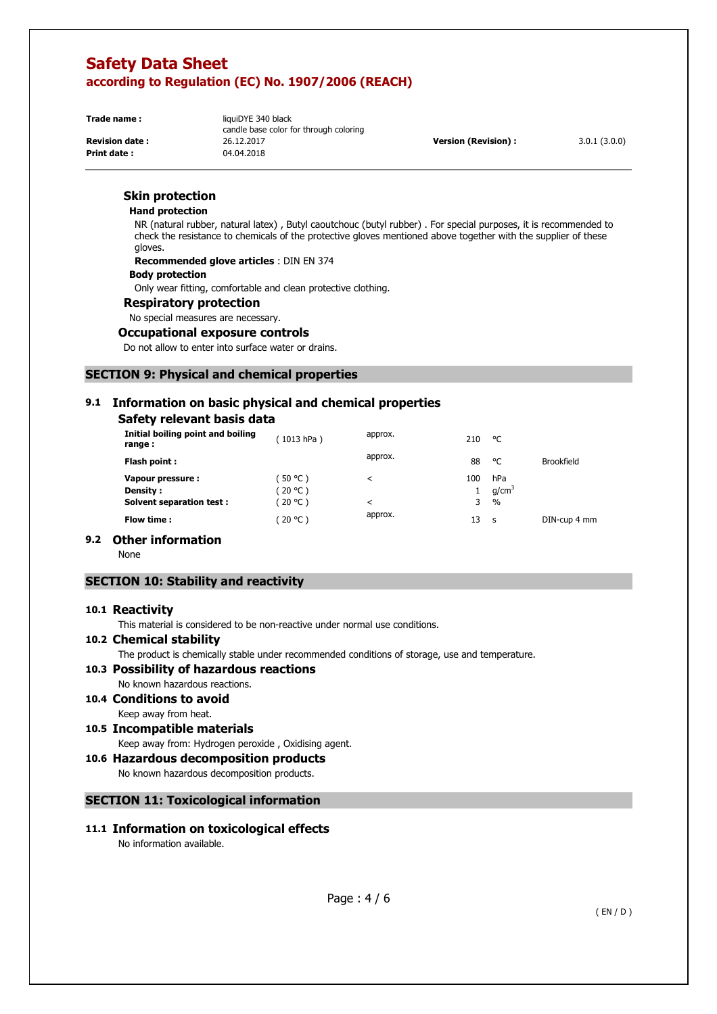**Print date :** 

**Trade name :** liquiDYE 340 black candle base color for through coloring **Revision date :** 26.12.2017 **Version (Revision) :** 3.0.1 (3.0.0)<br> **Print date :** 29.04.2018

### **Skin protection**

#### **Hand protection**

NR (natural rubber, natural latex) , Butyl caoutchouc (butyl rubber) . For special purposes, it is recommended to check the resistance to chemicals of the protective gloves mentioned above together with the supplier of these gloves.

**Recommended glove articles** : DIN EN 374

### **Body protection**

Only wear fitting, comfortable and clean protective clothing.

**Respiratory protection** 

### No special measures are necessary.

### **Occupational exposure controls**

Do not allow to enter into surface water or drains.

## **SECTION 9: Physical and chemical properties**

## **9.1 Information on basic physical and chemical properties**

### **Safety relevant basis data**

| Initial boiling point and boiling<br>range:                      | (1013 hPa)                       | approx.      | 210      | °C                                        |                   |
|------------------------------------------------------------------|----------------------------------|--------------|----------|-------------------------------------------|-------------------|
| Flash point :                                                    |                                  | approx.      | 88       | °C                                        | <b>Brookfield</b> |
| Vapour pressure :<br>Density:<br><b>Solvent separation test:</b> | (50 °C )<br>(20 °C )<br>(20 °C ) | $\,<\,$<br>< | 100<br>3 | hPa<br>q/cm <sup>3</sup><br>$\frac{0}{0}$ |                   |
| Flow time :                                                      | (20 °C )                         | approx.      | 13       | <b>S</b>                                  | DIN-cup 4 mm      |

### **9.2 Other information**

None

### **SECTION 10: Stability and reactivity**

### **10.1 Reactivity**

This material is considered to be non-reactive under normal use conditions.

### **10.2 Chemical stability**

The product is chemically stable under recommended conditions of storage, use and temperature.

#### **10.3 Possibility of hazardous reactions**

No known hazardous reactions.

#### **10.4 Conditions to avoid**  Keep away from heat.

### **10.5 Incompatible materials**

Keep away from: Hydrogen peroxide , Oxidising agent.

**10.6 Hazardous decomposition products**  No known hazardous decomposition products.

## **SECTION 11: Toxicological information**

**11.1 Information on toxicological effects** 

No information available.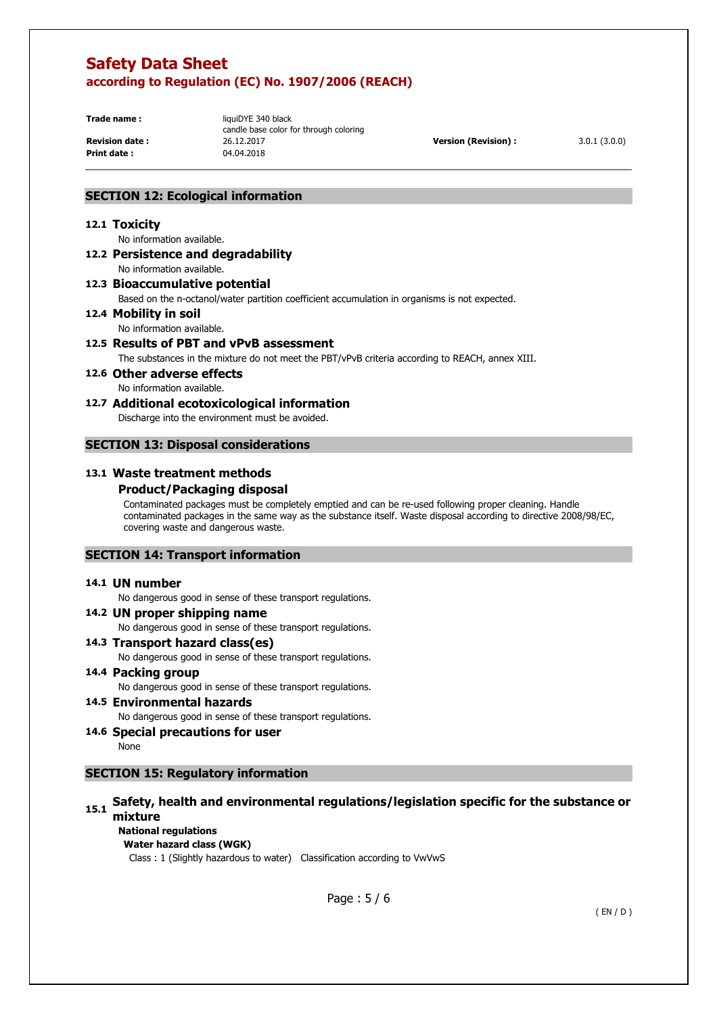**Print date :** 

**Trade name :** liquiDYE 340 black candle base color for through coloring **Revision date :** 26.12.2017 **Version (Revision) :** 3.0.1 (3.0.0)<br> **Print date :** 29.04.2018

### **SECTION 12: Ecological information**

#### **12.1 Toxicity**

No information available.

### **12.2 Persistence and degradability**  No information available.

### **12.3 Bioaccumulative potential**

Based on the n-octanol/water partition coefficient accumulation in organisms is not expected.

## **12.4 Mobility in soil**

No information available.

# **12.5 Results of PBT and vPvB assessment**

The substances in the mixture do not meet the PBT/vPvB criteria according to REACH, annex XIII.

#### **12.6 Other adverse effects**  No information available.

**12.7 Additional ecotoxicological information** 

Discharge into the environment must be avoided.

### **SECTION 13: Disposal considerations**

### **13.1 Waste treatment methods**

### **Product/Packaging disposal**

Contaminated packages must be completely emptied and can be re-used following proper cleaning. Handle contaminated packages in the same way as the substance itself. Waste disposal according to directive 2008/98/EC, covering waste and dangerous waste.

### **SECTION 14: Transport information**

### **14.1 UN number**

No dangerous good in sense of these transport regulations.

**14.2 UN proper shipping name**  No dangerous good in sense of these transport regulations. **14.3 Transport hazard class(es)** 

No dangerous good in sense of these transport regulations.

- **14.4 Packing group**  No dangerous good in sense of these transport regulations.
- **14.5 Environmental hazards**

No dangerous good in sense of these transport regulations.

## **14.6 Special precautions for user**

None

### **SECTION 15: Regulatory information**

## **15.1 Safety, health and environmental regulations/legislation specific for the substance or mixture**

## **National regulations**

**Water hazard class (WGK)** 

Class : 1 (Slightly hazardous to water) Classification according to VwVwS

Page : 5 / 6